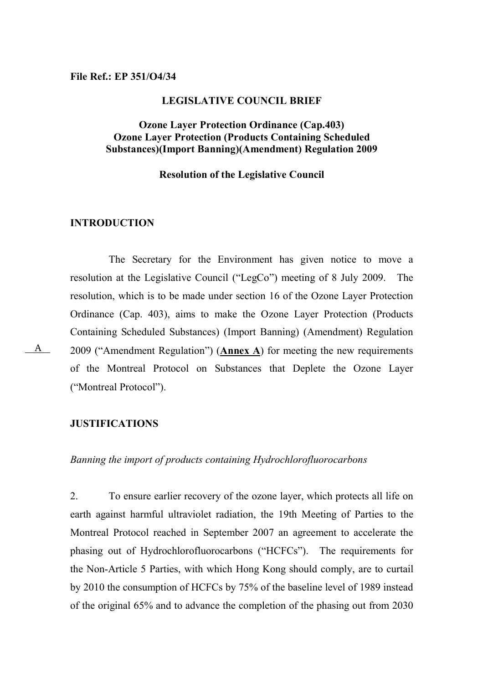### File Ref.: EP 351/O4/34

#### LEGISLATIVE COUNCIL BRIEF

## Ozone Layer Protection Ordinance (Cap.403) Ozone Layer Protection (Products Containing Scheduled Substances)(Import Banning)(Amendment) Regulation 2009

### Resolution of the Legislative Council

## INTRODUCTION

 The Secretary for the Environment has given notice to move a resolution at the Legislative Council ("LegCo") meeting of 8 July 2009. The resolution, which is to be made under section 16 of the Ozone Layer Protection Ordinance (Cap. 403), aims to make the Ozone Layer Protection (Products Containing Scheduled Substances) (Import Banning) (Amendment) Regulation 2009 ("Amendment Regulation") (Annex A) for meeting the new requirements of the Montreal Protocol on Substances that Deplete the Ozone Layer ("Montreal Protocol").

# JUSTIFICATIONS

Banning the import of products containing Hydrochlorofluorocarbons

2. To ensure earlier recovery of the ozone layer, which protects all life on earth against harmful ultraviolet radiation, the 19th Meeting of Parties to the Montreal Protocol reached in September 2007 an agreement to accelerate the phasing out of Hydrochlorofluorocarbons ("HCFCs"). The requirements for the Non-Article 5 Parties, with which Hong Kong should comply, are to curtail by 2010 the consumption of HCFCs by 75% of the baseline level of 1989 instead of the original 65% and to advance the completion of the phasing out from 2030

A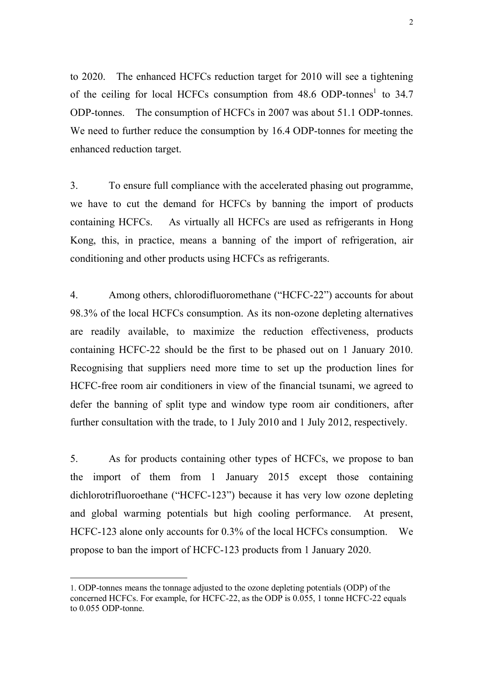to 2020. The enhanced HCFCs reduction target for 2010 will see a tightening of the ceiling for local HCFCs consumption from  $48.6$  ODP-tonnes<sup>1</sup> to  $34.7$ ODP-tonnes. The consumption of HCFCs in 2007 was about 51.1 ODP-tonnes. We need to further reduce the consumption by 16.4 ODP-tonnes for meeting the enhanced reduction target.

3. To ensure full compliance with the accelerated phasing out programme, we have to cut the demand for HCFCs by banning the import of products containing HCFCs. As virtually all HCFCs are used as refrigerants in Hong Kong, this, in practice, means a banning of the import of refrigeration, air conditioning and other products using HCFCs as refrigerants.

4. Among others, chlorodifluoromethane ("HCFC-22") accounts for about 98.3% of the local HCFCs consumption. As its non-ozone depleting alternatives are readily available, to maximize the reduction effectiveness, products containing HCFC-22 should be the first to be phased out on 1 January 2010. Recognising that suppliers need more time to set up the production lines for HCFC-free room air conditioners in view of the financial tsunami, we agreed to defer the banning of split type and window type room air conditioners, after further consultation with the trade, to 1 July 2010 and 1 July 2012, respectively.

5. As for products containing other types of HCFCs, we propose to ban the import of them from 1 January 2015 except those containing dichlorotrifluoroethane ("HCFC-123") because it has very low ozone depleting and global warming potentials but high cooling performance. At present, HCFC-123 alone only accounts for 0.3% of the local HCFCs consumption. We propose to ban the import of HCFC-123 products from 1 January 2020.

 $\overline{a}$ 

<sup>1.</sup> ODP-tonnes means the tonnage adjusted to the ozone depleting potentials (ODP) of the concerned HCFCs. For example, for HCFC-22, as the ODP is 0.055, 1 tonne HCFC-22 equals to 0.055 ODP-tonne.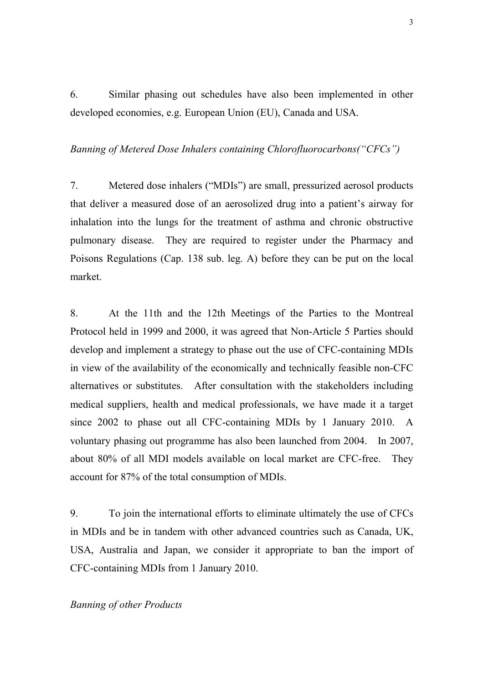6. Similar phasing out schedules have also been implemented in other developed economies, e.g. European Union (EU), Canada and USA.

# Banning of Metered Dose Inhalers containing Chlorofluorocarbons("CFCs")

7. Metered dose inhalers ("MDIs") are small, pressurized aerosol products that deliver a measured dose of an aerosolized drug into a patient's airway for inhalation into the lungs for the treatment of asthma and chronic obstructive pulmonary disease. They are required to register under the Pharmacy and Poisons Regulations (Cap. 138 sub. leg. A) before they can be put on the local market.

8. At the 11th and the 12th Meetings of the Parties to the Montreal Protocol held in 1999 and 2000, it was agreed that Non-Article 5 Parties should develop and implement a strategy to phase out the use of CFC-containing MDIs in view of the availability of the economically and technically feasible non-CFC alternatives or substitutes. After consultation with the stakeholders including medical suppliers, health and medical professionals, we have made it a target since 2002 to phase out all CFC-containing MDIs by 1 January 2010. A voluntary phasing out programme has also been launched from 2004. In 2007, about 80% of all MDI models available on local market are CFC-free. They account for 87% of the total consumption of MDIs.

9. To join the international efforts to eliminate ultimately the use of CFCs in MDIs and be in tandem with other advanced countries such as Canada, UK, USA, Australia and Japan, we consider it appropriate to ban the import of CFC-containing MDIs from 1 January 2010.

## Banning of other Products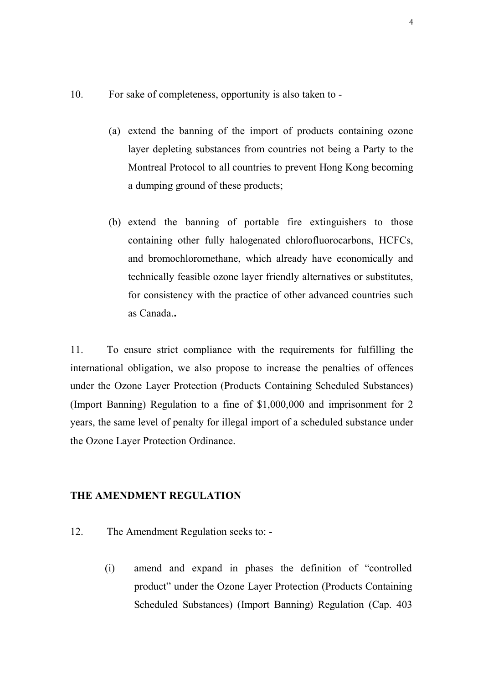- 10. For sake of completeness, opportunity is also taken to
	- (a) extend the banning of the import of products containing ozone layer depleting substances from countries not being a Party to the Montreal Protocol to all countries to prevent Hong Kong becoming a dumping ground of these products;
	- (b) extend the banning of portable fire extinguishers to those containing other fully halogenated chlorofluorocarbons, HCFCs, and bromochloromethane, which already have economically and technically feasible ozone layer friendly alternatives or substitutes, for consistency with the practice of other advanced countries such as Canada..

11. To ensure strict compliance with the requirements for fulfilling the international obligation, we also propose to increase the penalties of offences under the Ozone Layer Protection (Products Containing Scheduled Substances) (Import Banning) Regulation to a fine of \$1,000,000 and imprisonment for 2 years, the same level of penalty for illegal import of a scheduled substance under the Ozone Layer Protection Ordinance.

### THE AMENDMENT REGULATION

- 12. The Amendment Regulation seeks to:
	- (i) amend and expand in phases the definition of "controlled product" under the Ozone Layer Protection (Products Containing Scheduled Substances) (Import Banning) Regulation (Cap. 403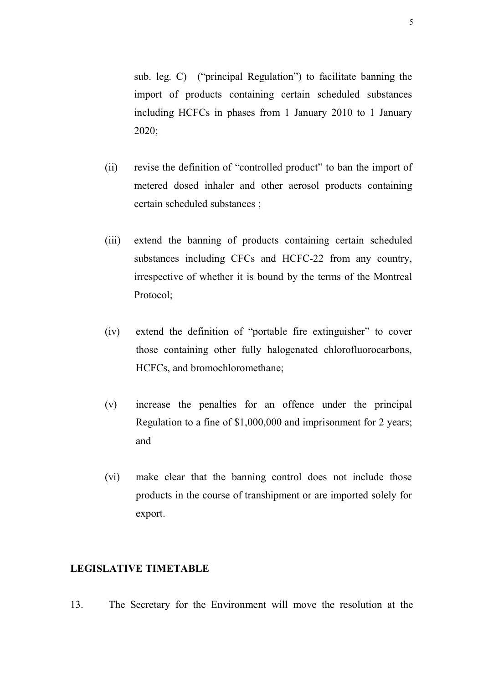sub. leg. C) ("principal Regulation") to facilitate banning the import of products containing certain scheduled substances including HCFCs in phases from 1 January 2010 to 1 January 2020;

- (ii) revise the definition of "controlled product" to ban the import of metered dosed inhaler and other aerosol products containing certain scheduled substances ;
- (iii) extend the banning of products containing certain scheduled substances including CFCs and HCFC-22 from any country, irrespective of whether it is bound by the terms of the Montreal Protocol;
- (iv) extend the definition of "portable fire extinguisher" to cover those containing other fully halogenated chlorofluorocarbons, HCFCs, and bromochloromethane;
- (v) increase the penalties for an offence under the principal Regulation to a fine of \$1,000,000 and imprisonment for 2 years; and
- (vi) make clear that the banning control does not include those products in the course of transhipment or are imported solely for export.

### LEGISLATIVE TIMETABLE

13. The Secretary for the Environment will move the resolution at the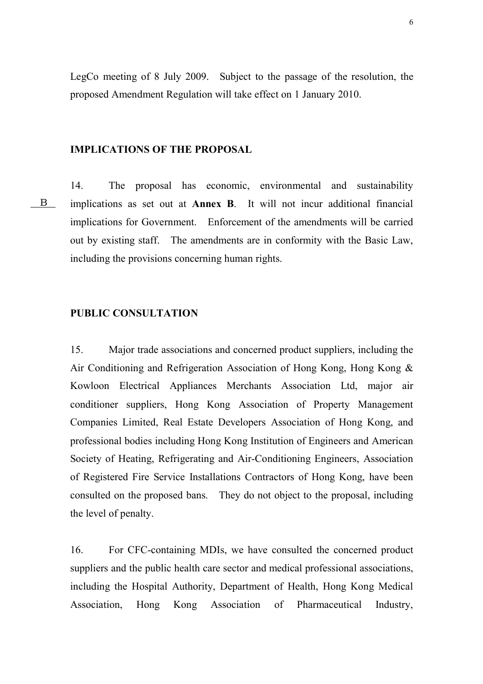LegCo meeting of 8 July 2009. Subject to the passage of the resolution, the proposed Amendment Regulation will take effect on 1 January 2010.

## IMPLICATIONS OF THE PROPOSAL

B

14. The proposal has economic, environmental and sustainability implications as set out at Annex B. It will not incur additional financial implications for Government. Enforcement of the amendments will be carried out by existing staff. The amendments are in conformity with the Basic Law, including the provisions concerning human rights.

### PUBLIC CONSULTATION

15. Major trade associations and concerned product suppliers, including the Air Conditioning and Refrigeration Association of Hong Kong, Hong Kong & Kowloon Electrical Appliances Merchants Association Ltd, major air conditioner suppliers, Hong Kong Association of Property Management Companies Limited, Real Estate Developers Association of Hong Kong, and professional bodies including Hong Kong Institution of Engineers and American Society of Heating, Refrigerating and Air-Conditioning Engineers, Association of Registered Fire Service Installations Contractors of Hong Kong, have been consulted on the proposed bans. They do not object to the proposal, including the level of penalty.

16. For CFC-containing MDIs, we have consulted the concerned product suppliers and the public health care sector and medical professional associations, including the Hospital Authority, Department of Health, Hong Kong Medical Association, Hong Kong Association of Pharmaceutical Industry,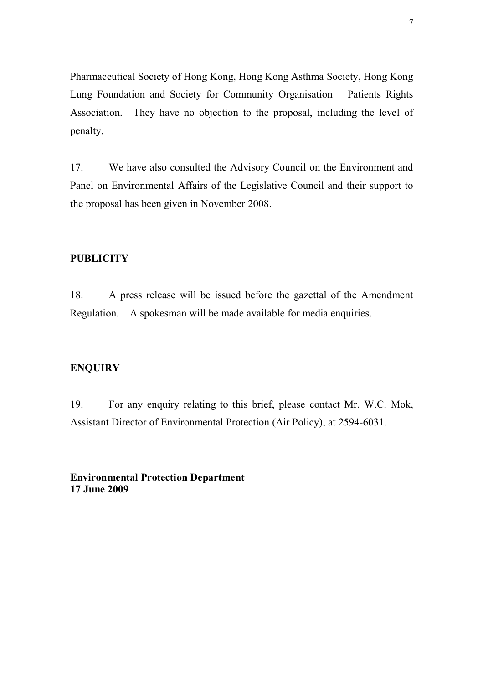Pharmaceutical Society of Hong Kong, Hong Kong Asthma Society, Hong Kong Lung Foundation and Society for Community Organisation – Patients Rights Association. They have no objection to the proposal, including the level of penalty.

17. We have also consulted the Advisory Council on the Environment and Panel on Environmental Affairs of the Legislative Council and their support to the proposal has been given in November 2008.

### **PUBLICITY**

18. A press release will be issued before the gazettal of the Amendment Regulation. A spokesman will be made available for media enquiries.

### **ENQUIRY**

19. For any enquiry relating to this brief, please contact Mr. W.C. Mok, Assistant Director of Environmental Protection (Air Policy), at 2594-6031.

Environmental Protection Department 17 June 2009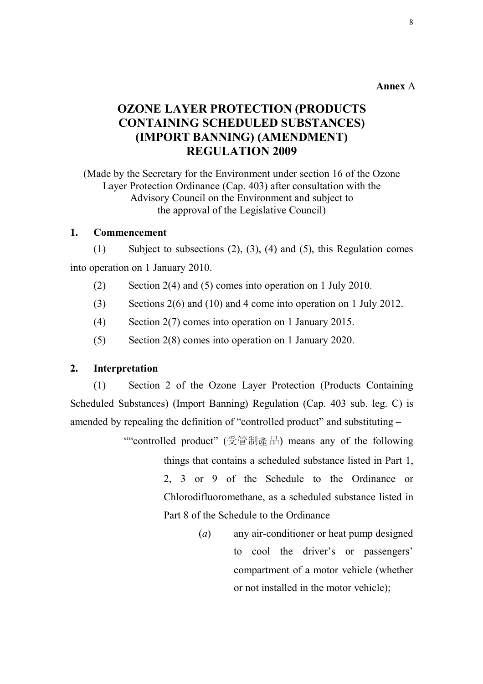## Annex A

# OZONE LAYER PROTECTION (PRODUCTS CONTAINING SCHEDULED SUBSTANCES) (IMPORT BANNING) (AMENDMENT) REGULATION 2009

(Made by the Secretary for the Environment under section 16 of the Ozone Layer Protection Ordinance (Cap. 403) after consultation with the Advisory Council on the Environment and subject to the approval of the Legislative Council)

### 1. Commencement

(1) Subject to subsections (2), (3), (4) and (5), this Regulation comes into operation on 1 January 2010.

- (2) Section 2(4) and (5) comes into operation on 1 July 2010.
- (3) Sections 2(6) and (10) and 4 come into operation on 1 July 2012.
- (4) Section 2(7) comes into operation on 1 January 2015.
- (5) Section 2(8) comes into operation on 1 January 2020.

# 2. Interpretation

(1) Section 2 of the Ozone Layer Protection (Products Containing Scheduled Substances) (Import Banning) Regulation (Cap. 403 sub. leg. C) is amended by repealing the definition of "controlled product" and substituting –

> ""controlled product" (受管制產品) means any of the following things that contains a scheduled substance listed in Part 1, 2, 3 or 9 of the Schedule to the Ordinance or Chlorodifluoromethane, as a scheduled substance listed in Part 8 of the Schedule to the Ordinance –

> > (a) any air-conditioner or heat pump designed to cool the driver's or passengers' compartment of a motor vehicle (whether or not installed in the motor vehicle);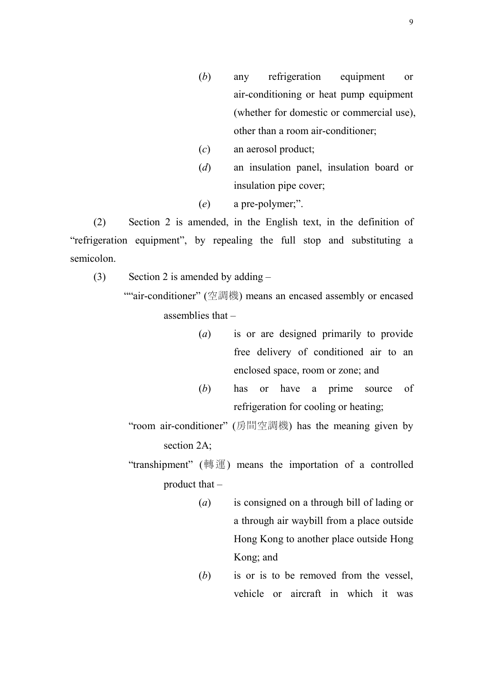- (b) any refrigeration equipment or air-conditioning or heat pump equipment (whether for domestic or commercial use), other than a room air-conditioner;
- (c) an aerosol product;
- (d) an insulation panel, insulation board or insulation pipe cover;
- (e) a pre-polymer;".

(2) Section 2 is amended, in the English text, in the definition of "refrigeration equipment", by repealing the full stop and substituting a semicolon.

(3) Section 2 is amended by adding  $-$ 

""air-conditioner" (空調機) means an encased assembly or encased assemblies that –

- (a) is or are designed primarily to provide free delivery of conditioned air to an enclosed space, room or zone; and
- (b) has or have a prime source of refrigeration for cooling or heating;
- "room air-conditioner" (房間空調機) has the meaning given by section 2A;

"transhipment" (轉運) means the importation of a controlled product that –

- (a) is consigned on a through bill of lading or a through air waybill from a place outside Hong Kong to another place outside Hong Kong; and
- (b) is or is to be removed from the vessel, vehicle or aircraft in which it was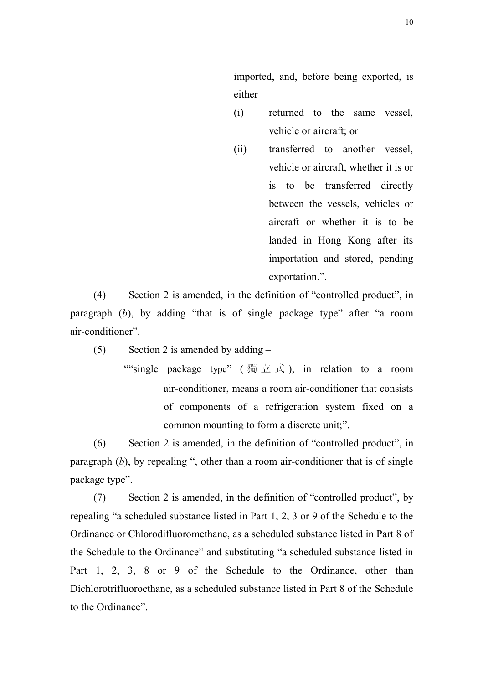imported, and, before being exported, is either –

- (i) returned to the same vessel, vehicle or aircraft; or
- (ii) transferred to another vessel, vehicle or aircraft, whether it is or is to be transferred directly between the vessels, vehicles or aircraft or whether it is to be landed in Hong Kong after its importation and stored, pending exportation.".

(4) Section 2 is amended, in the definition of "controlled product", in paragraph  $(b)$ , by adding "that is of single package type" after "a room air-conditioner".

(5) Section 2 is amended by adding –

""single package type" (獨立式), in relation to a room air-conditioner, means a room air-conditioner that consists of components of a refrigeration system fixed on a common mounting to form a discrete unit;".

(6) Section 2 is amended, in the definition of "controlled product", in paragraph  $(b)$ , by repealing ", other than a room air-conditioner that is of single package type".

(7) Section 2 is amended, in the definition of "controlled product", by repealing "a scheduled substance listed in Part 1, 2, 3 or 9 of the Schedule to the Ordinance or Chlorodifluoromethane, as a scheduled substance listed in Part 8 of the Schedule to the Ordinance" and substituting "a scheduled substance listed in Part 1, 2, 3, 8 or 9 of the Schedule to the Ordinance, other than Dichlorotrifluoroethane, as a scheduled substance listed in Part 8 of the Schedule to the Ordinance".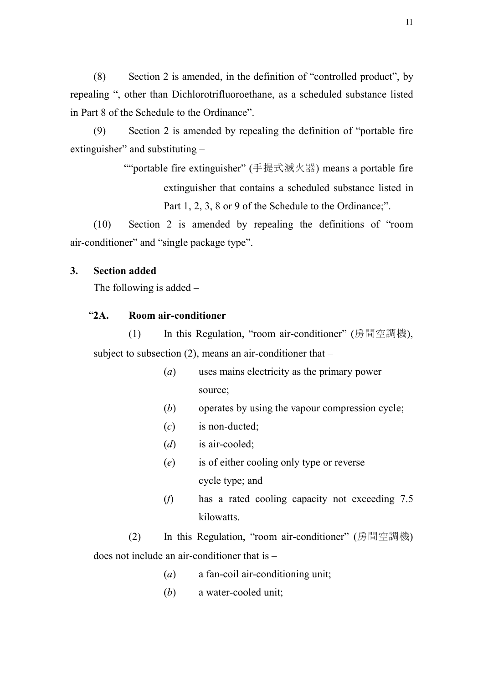(8) Section 2 is amended, in the definition of "controlled product", by repealing ", other than Dichlorotrifluoroethane, as a scheduled substance listed in Part 8 of the Schedule to the Ordinance".

(9) Section 2 is amended by repealing the definition of "portable fire extinguisher" and substituting –

> ""portable fire extinguisher" (手提式滅火器) means a portable fire extinguisher that contains a scheduled substance listed in Part 1, 2, 3, 8 or 9 of the Schedule to the Ordinance;".

(10) Section 2 is amended by repealing the definitions of "room air-conditioner" and "single package type".

### 3. Section added

The following is added –

# "2A. Room air-conditioner

(1) In this Regulation, "room air-conditioner" (房間空調機), subject to subsection  $(2)$ , means an air-conditioner that –

- (a) uses mains electricity as the primary power source;
- (b) operates by using the vapour compression cycle;
- $(c)$  is non-ducted:
- $(d)$  is air-cooled;
- (e) is of either cooling only type or reverse cycle type; and
- (f) has a rated cooling capacity not exceeding 7.5 kilowatts.

(2) In this Regulation, "room air-conditioner" (房間空調機) does not include an air-conditioner that is –

- (a) a fan-coil air-conditioning unit;
- (b) a water-cooled unit: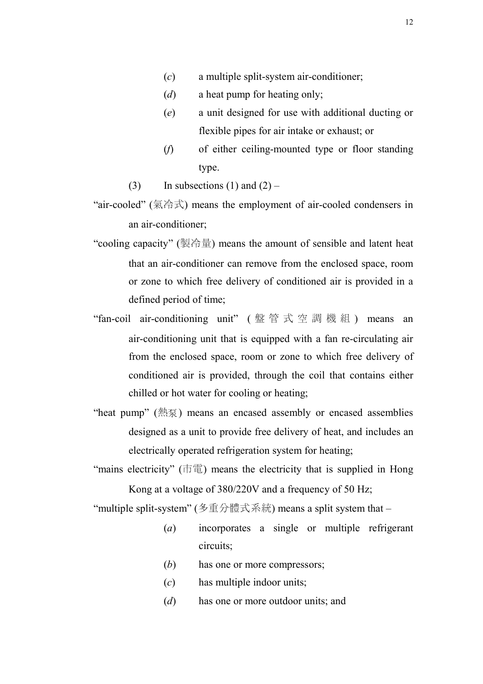- (c) a multiple split-system air-conditioner;
- $(d)$  a heat pump for heating only;
- (e) a unit designed for use with additional ducting or flexible pipes for air intake or exhaust; or
- (f) of either ceiling-mounted type or floor standing type.
- (3) In subsections (1) and  $(2)$  –
- "air-cooled" (氣冷式) means the employment of air-cooled condensers in an air-conditioner;
- "cooling capacity" (製冷量) means the amount of sensible and latent heat that an air-conditioner can remove from the enclosed space, room or zone to which free delivery of conditioned air is provided in a defined period of time;
- "fan-coil air-conditioning unit" ( 盤 管 式 空 調 機 組 ) means an air-conditioning unit that is equipped with a fan re-circulating air from the enclosed space, room or zone to which free delivery of conditioned air is provided, through the coil that contains either chilled or hot water for cooling or heating;
- "heat pump" (熱泵) means an encased assembly or encased assemblies designed as a unit to provide free delivery of heat, and includes an electrically operated refrigeration system for heating;
- "mains electricity"  $(\vec{\pi}$  \\\\\\] means the electricity that is supplied in Hong Kong at a voltage of 380/220V and a frequency of 50 Hz;

"multiple split-system" (多重分體式系統) means a split system that –

- (a) incorporates a single or multiple refrigerant circuits;
- (b) has one or more compressors;
- (c) has multiple indoor units;
- (*d*) has one or more outdoor units; and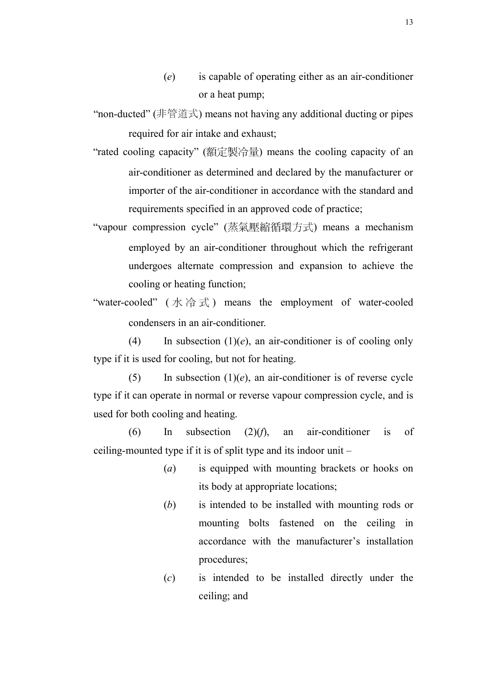- (e) is capable of operating either as an air-conditioner or a heat pump;
- "non-ducted" (非管道式) means not having any additional ducting or pipes required for air intake and exhaust;
- "rated cooling capacity" (額定製冷量) means the cooling capacity of an air-conditioner as determined and declared by the manufacturer or importer of the air-conditioner in accordance with the standard and requirements specified in an approved code of practice;
- "vapour compression cycle" (蒸氣壓縮循環方式) means a mechanism employed by an air-conditioner throughout which the refrigerant undergoes alternate compression and expansion to achieve the cooling or heating function;
- "water-cooled" (  $\uparrow \uparrow \uparrow \uparrow$  ) means the employment of water-cooled condensers in an air-conditioner.

(4) In subsection  $(1)(e)$ , an air-conditioner is of cooling only type if it is used for cooling, but not for heating.

(5) In subsection  $(1)(e)$ , an air-conditioner is of reverse cycle type if it can operate in normal or reverse vapour compression cycle, and is used for both cooling and heating.

 $(6)$  In subsection  $(2)(f)$ , an air-conditioner is of ceiling-mounted type if it is of split type and its indoor unit –

- (a) is equipped with mounting brackets or hooks on its body at appropriate locations;
- (b) is intended to be installed with mounting rods or mounting bolts fastened on the ceiling in accordance with the manufacturer's installation procedures;
- (c) is intended to be installed directly under the ceiling; and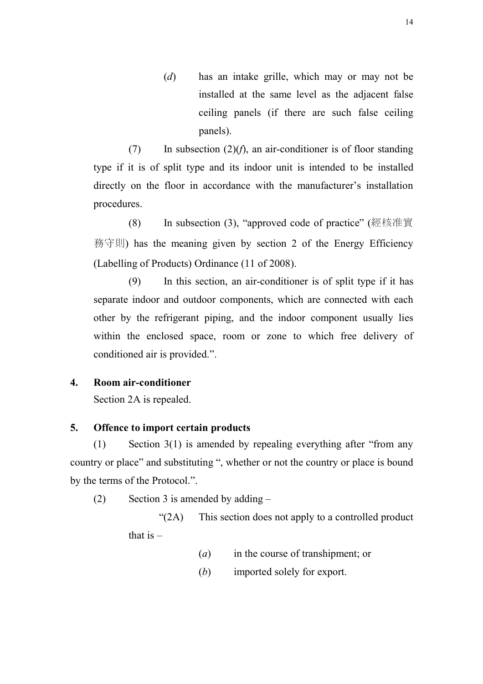(d) has an intake grille, which may or may not be installed at the same level as the adjacent false ceiling panels (if there are such false ceiling panels).

(7) In subsection  $(2)(f)$ , an air-conditioner is of floor standing type if it is of split type and its indoor unit is intended to be installed directly on the floor in accordance with the manufacturer's installation procedures.

(8) In subsection (3), "approved code of practice" (經核准實 務守則) has the meaning given by section 2 of the Energy Efficiency (Labelling of Products) Ordinance (11 of 2008).

(9) In this section, an air-conditioner is of split type if it has separate indoor and outdoor components, which are connected with each other by the refrigerant piping, and the indoor component usually lies within the enclosed space, room or zone to which free delivery of conditioned air is provided.".

# 4. Room air-conditioner

Section 2A is repealed.

## 5. Offence to import certain products

(1) Section 3(1) is amended by repealing everything after "from any country or place" and substituting ", whether or not the country or place is bound by the terms of the Protocol.".

(2) Section 3 is amended by adding –

"(2A) This section does not apply to a controlled product that is  $-$ 

- (a) in the course of transhipment; or
- (b) imported solely for export.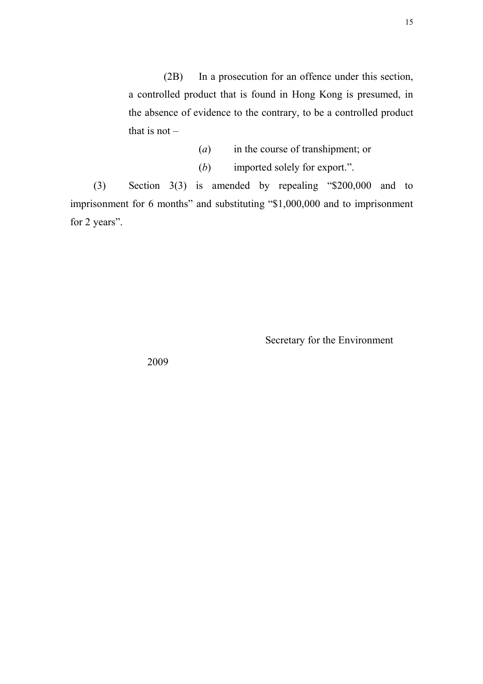(2B) In a prosecution for an offence under this section, a controlled product that is found in Hong Kong is presumed, in the absence of evidence to the contrary, to be a controlled product that is not  $-$ 

- (a) in the course of transhipment; or
- (b) imported solely for export.".

(3) Section 3(3) is amended by repealing "\$200,000 and to imprisonment for 6 months" and substituting "\$1,000,000 and to imprisonment for 2 years".

Secretary for the Environment

2009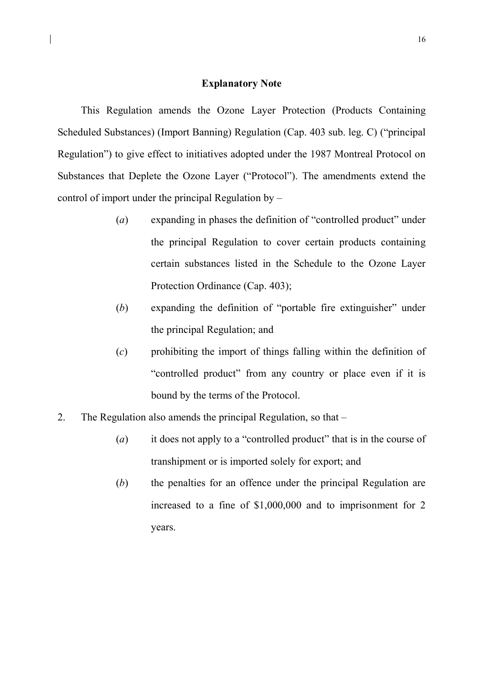### Explanatory Note

 $\overline{\phantom{a}}$ 

This Regulation amends the Ozone Layer Protection (Products Containing Scheduled Substances) (Import Banning) Regulation (Cap. 403 sub. leg. C) ("principal Regulation") to give effect to initiatives adopted under the 1987 Montreal Protocol on Substances that Deplete the Ozone Layer ("Protocol"). The amendments extend the control of import under the principal Regulation by –

- (a) expanding in phases the definition of "controlled product" under the principal Regulation to cover certain products containing certain substances listed in the Schedule to the Ozone Layer Protection Ordinance (Cap. 403);
- (b) expanding the definition of "portable fire extinguisher" under the principal Regulation; and
- (c) prohibiting the import of things falling within the definition of "controlled product" from any country or place even if it is bound by the terms of the Protocol.
- 2. The Regulation also amends the principal Regulation, so that
	- (a) it does not apply to a "controlled product" that is in the course of transhipment or is imported solely for export; and
	- (b) the penalties for an offence under the principal Regulation are increased to a fine of \$1,000,000 and to imprisonment for 2 years.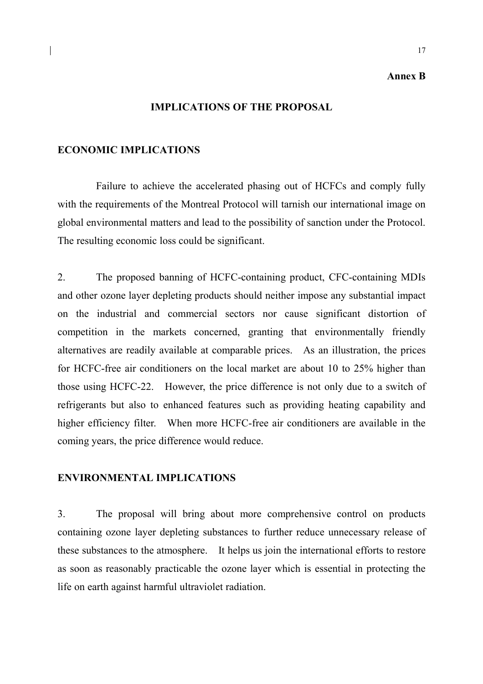### Annex B

17

### IMPLICATIONS OF THE PROPOSAL

### ECONOMIC IMPLICATIONS

 Failure to achieve the accelerated phasing out of HCFCs and comply fully with the requirements of the Montreal Protocol will tarnish our international image on global environmental matters and lead to the possibility of sanction under the Protocol. The resulting economic loss could be significant.

2. The proposed banning of HCFC-containing product, CFC-containing MDIs and other ozone layer depleting products should neither impose any substantial impact on the industrial and commercial sectors nor cause significant distortion of competition in the markets concerned, granting that environmentally friendly alternatives are readily available at comparable prices. As an illustration, the prices for HCFC-free air conditioners on the local market are about 10 to 25% higher than those using HCFC-22. However, the price difference is not only due to a switch of refrigerants but also to enhanced features such as providing heating capability and higher efficiency filter. When more HCFC-free air conditioners are available in the coming years, the price difference would reduce.

## ENVIRONMENTAL IMPLICATIONS

3. The proposal will bring about more comprehensive control on products containing ozone layer depleting substances to further reduce unnecessary release of these substances to the atmosphere. It helps us join the international efforts to restore as soon as reasonably practicable the ozone layer which is essential in protecting the life on earth against harmful ultraviolet radiation.